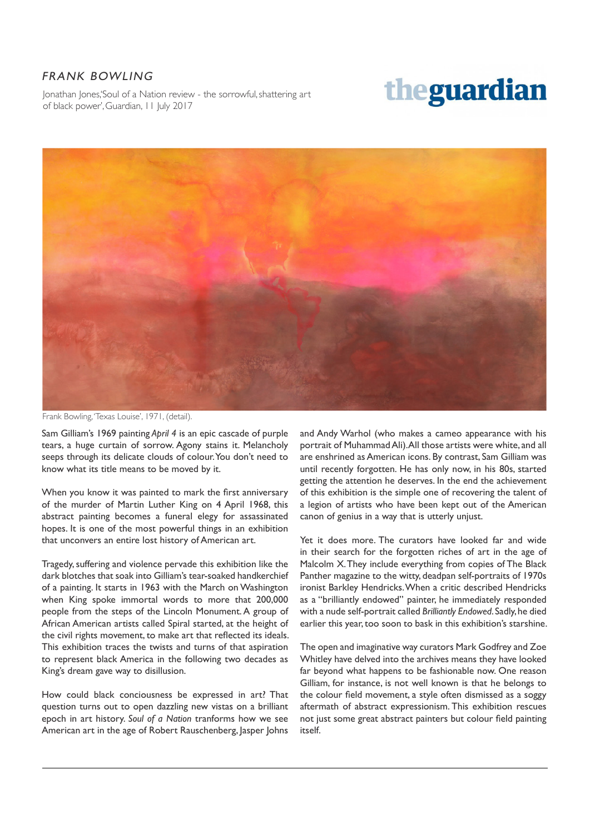## FRANK BOWLING

Jonathan Jones, 'Soul of a Nation review - the sorrowful, shattering art of black power', Guardian, 11 July 2017

## theguardian



Frank Bowling, 'Texas Louise', 1971, (detail).

Sam Gilliam's 1969 painting *April 4* is an epic cascade of purple tears, a huge curtain of sorrow. Agony stains it. Melancholy seeps through its delicate clouds of colour. You don't need to know what its title means to be moved by it.

When you know it was painted to mark the first anniversary of the murder of Martin Luther King on 4 April 1968, this abstract painting becomes a funeral elegy for assassinated hopes. It is one of the most powerful things in an exhibition that unconvers an entire lost history of American art.

Tragedy, suffering and violence pervade this exhibition like the dark blotches that soak into Gilliam's tear-soaked handkerchief of a painting. It starts in 1963 with the March on Washington when King spoke immortal words to more that 200,000 people from the steps of the Lincoln Monument. A group of African American artists called Spiral started, at the height of the civil rights movement, to make art that reflected its ideals. This exhibition traces the twists and turns of that aspiration to represent black America in the following two decades as King's dream gave way to disillusion.

How could black conciousness be expressed in art? That question turns out to open dazzling new vistas on a brilliant epoch in art history. *Soul of a Nation* tranforms how we see American art in the age of Robert Rauschenberg, Jasper Johns

and Andy Warhol (who makes a cameo appearance with his portrait of Muhammad Ali). All those artists were white, and all are enshrined as American icons. By contrast, Sam Gilliam was until recently forgotten. He has only now, in his 80s, started getting the attention he deserves. In the end the achievement of this exhibition is the simple one of recovering the talent of a legion of artists who have been kept out of the American canon of genius in a way that is utterly unjust.

Yet it does more. The curators have looked far and wide in their search for the forgotten riches of art in the age of Malcolm X. They include everything from copies of The Black Panther magazine to the witty, deadpan self-portraits of 1970s ironist Barkley Hendricks. When a critic described Hendricks as a "brilliantly endowed" painter, he immediately responded with a nude self-portrait called *Brilliantly Endowed*. Sadly, he died earlier this year, too soon to bask in this exhibition's starshine.

The open and imaginative way curators Mark Godfrey and Zoe Whitley have delved into the archives means they have looked far beyond what happens to be fashionable now. One reason Gilliam, for instance, is not well known is that he belongs to the colour field movement, a style often dismissed as a soggy aftermath of abstract expressionism. This exhibition rescues not just some great abstract painters but colour field painting itself.